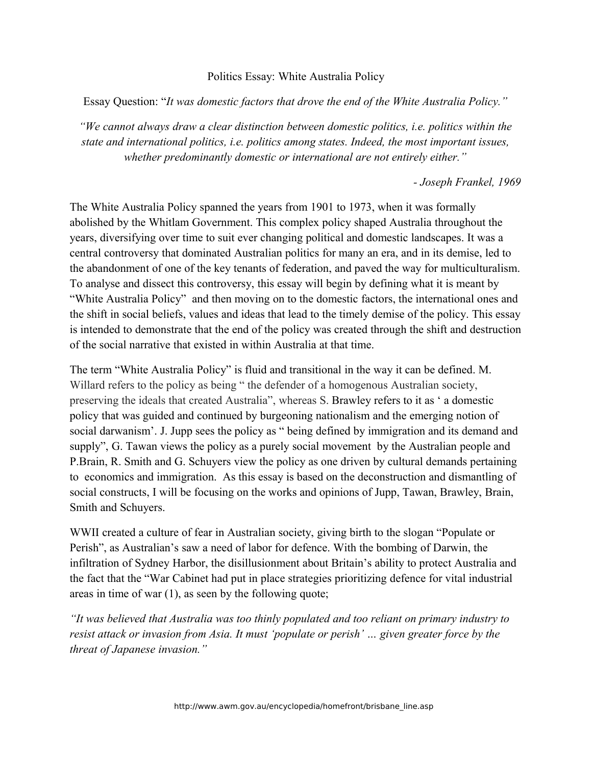## Politics Essay: White Australia Policy

Essay Question: "*It was domestic factors that drove the end of the White Australia Policy."*

*"We cannot always draw a clear distinction between domestic politics, i.e. politics within the state and international politics, i.e. politics among states. Indeed, the most important issues, whether predominantly domestic or international are not entirely either."*

*- Joseph Frankel, 1969*

The White Australia Policy spanned the years from 1901 to 1973, when it was formally abolished by the Whitlam Government. This complex policy shaped Australia throughout the years, diversifying over time to suit ever changing political and domestic landscapes. It was a central controversy that dominated Australian politics for many an era, and in its demise, led to the abandonment of one of the key tenants of federation, and paved the way for multiculturalism. To analyse and dissect this controversy, this essay will begin by defining what it is meant by "White Australia Policy" and then moving on to the domestic factors, the international ones and the shift in social beliefs, values and ideas that lead to the timely demise of the policy. This essay is intended to demonstrate that the end of the policy was created through the shift and destruction of the social narrative that existed in within Australia at that time.

The term "White Australia Policy" is fluid and transitional in the way it can be defined. M. Willard refers to the policy as being " the defender of a homogenous Australian society, preserving the ideals that created Australia", whereas S. Brawley refers to it as ' a domestic policy that was guided and continued by burgeoning nationalism and the emerging notion of social darwanism'. J. Jupp sees the policy as " being defined by immigration and its demand and supply", G. Tawan views the policy as a purely social movement by the Australian people and P.Brain, R. Smith and G. Schuyers view the policy as one driven by cultural demands pertaining to economics and immigration. As this essay is based on the deconstruction and dismantling of social constructs, I will be focusing on the works and opinions of Jupp, Tawan, Brawley, Brain, Smith and Schuyers.

WWII created a culture of fear in Australian society, giving birth to the slogan "Populate or Perish", as Australian's saw a need of labor for defence. With the bombing of Darwin, the infiltration of Sydney Harbor, the disillusionment about Britain's ability to protect Australia and the fact that the "War Cabinet had put in place strategies prioritizing defence for vital industrial areas in time of war (1), as seen by the following quote;

*"It was believed that Australia was too thinly populated and too reliant on primary industry to resist attack or invasion from Asia. It must 'populate or perish' … given greater force by the threat of Japanese invasion."*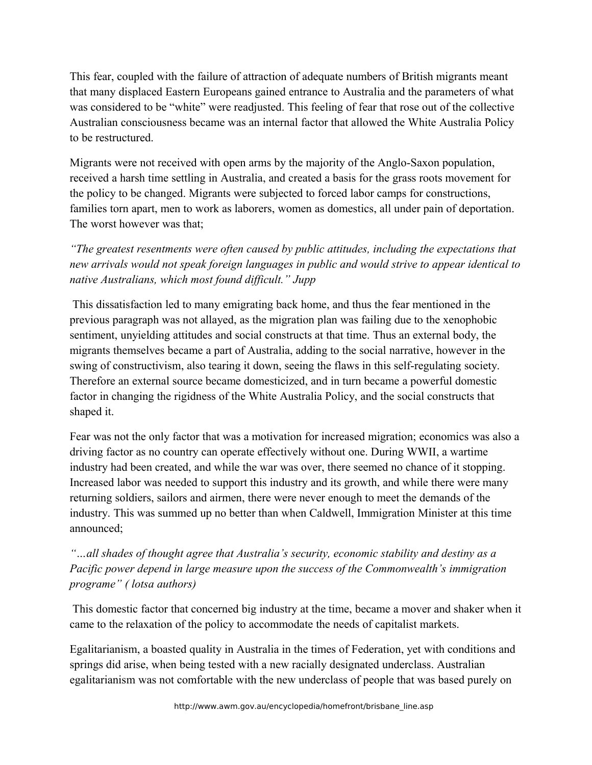This fear, coupled with the failure of attraction of adequate numbers of British migrants meant that many displaced Eastern Europeans gained entrance to Australia and the parameters of what was considered to be "white" were readjusted. This feeling of fear that rose out of the collective Australian consciousness became was an internal factor that allowed the White Australia Policy to be restructured.

Migrants were not received with open arms by the majority of the Anglo-Saxon population, received a harsh time settling in Australia, and created a basis for the grass roots movement for the policy to be changed. Migrants were subjected to forced labor camps for constructions, families torn apart, men to work as laborers, women as domestics, all under pain of deportation. The worst however was that;

*"The greatest resentments were often caused by public attitudes, including the expectations that new arrivals would not speak foreign languages in public and would strive to appear identical to native Australians, which most found difficult." Jupp*

 This dissatisfaction led to many emigrating back home, and thus the fear mentioned in the previous paragraph was not allayed, as the migration plan was failing due to the xenophobic sentiment, unyielding attitudes and social constructs at that time. Thus an external body, the migrants themselves became a part of Australia, adding to the social narrative, however in the swing of constructivism, also tearing it down, seeing the flaws in this self-regulating society. Therefore an external source became domesticized, and in turn became a powerful domestic factor in changing the rigidness of the White Australia Policy, and the social constructs that shaped it.

Fear was not the only factor that was a motivation for increased migration; economics was also a driving factor as no country can operate effectively without one. During WWII, a wartime industry had been created, and while the war was over, there seemed no chance of it stopping. Increased labor was needed to support this industry and its growth, and while there were many returning soldiers, sailors and airmen, there were never enough to meet the demands of the industry. This was summed up no better than when Caldwell, Immigration Minister at this time announced;

*"…all shades of thought agree that Australia's security, economic stability and destiny as a Pacific power depend in large measure upon the success of the Commonwealth's immigration programe" ( lotsa authors)*

 This domestic factor that concerned big industry at the time, became a mover and shaker when it came to the relaxation of the policy to accommodate the needs of capitalist markets.

Egalitarianism, a boasted quality in Australia in the times of Federation, yet with conditions and springs did arise, when being tested with a new racially designated underclass. Australian egalitarianism was not comfortable with the new underclass of people that was based purely on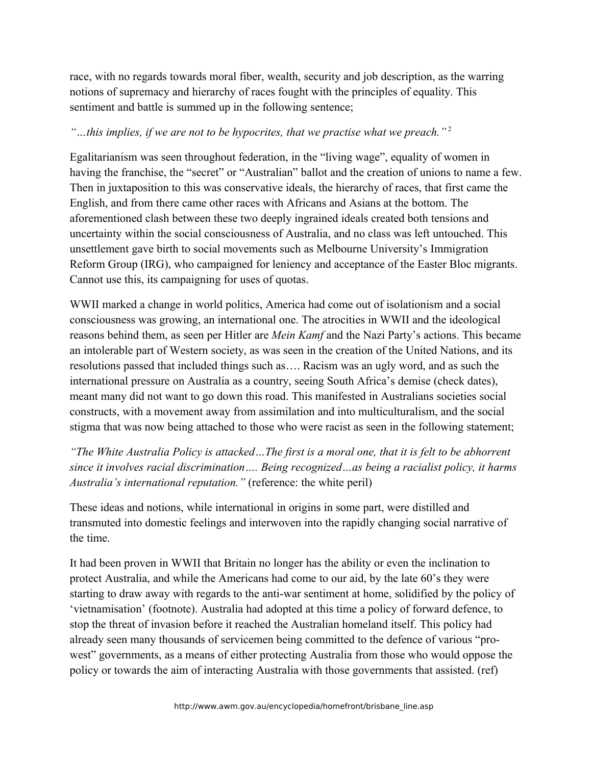race, with no regards towards moral fiber, wealth, security and job description, as the warring notions of supremacy and hierarchy of races fought with the principles of equality. This sentiment and battle is summed up in the following sentence;

## *"…this implies, if we are not to be hypocrites, that we practise what we preach."* <sup>2</sup>

Egalitarianism was seen throughout federation, in the "living wage", equality of women in having the franchise, the "secret" or "Australian" ballot and the creation of unions to name a few. Then in juxtaposition to this was conservative ideals, the hierarchy of races, that first came the English, and from there came other races with Africans and Asians at the bottom. The aforementioned clash between these two deeply ingrained ideals created both tensions and uncertainty within the social consciousness of Australia, and no class was left untouched. This unsettlement gave birth to social movements such as Melbourne University's Immigration Reform Group (IRG), who campaigned for leniency and acceptance of the Easter Bloc migrants. Cannot use this, its campaigning for uses of quotas.

WWII marked a change in world politics, America had come out of isolationism and a social consciousness was growing, an international one. The atrocities in WWII and the ideological reasons behind them, as seen per Hitler are *Mein Kamf* and the Nazi Party's actions. This became an intolerable part of Western society, as was seen in the creation of the United Nations, and its resolutions passed that included things such as…. Racism was an ugly word, and as such the international pressure on Australia as a country, seeing South Africa's demise (check dates), meant many did not want to go down this road. This manifested in Australians societies social constructs, with a movement away from assimilation and into multiculturalism, and the social stigma that was now being attached to those who were racist as seen in the following statement;

*"The White Australia Policy is attacked…The first is a moral one, that it is felt to be abhorrent since it involves racial discrimination…. Being recognized…as being a racialist policy, it harms Australia's international reputation."* (reference: the white peril)

These ideas and notions, while international in origins in some part, were distilled and transmuted into domestic feelings and interwoven into the rapidly changing social narrative of the time.

It had been proven in WWII that Britain no longer has the ability or even the inclination to protect Australia, and while the Americans had come to our aid, by the late 60's they were starting to draw away with regards to the anti-war sentiment at home, solidified by the policy of 'vietnamisation' (footnote). Australia had adopted at this time a policy of forward defence, to stop the threat of invasion before it reached the Australian homeland itself. This policy had already seen many thousands of servicemen being committed to the defence of various "prowest" governments, as a means of either protecting Australia from those who would oppose the policy or towards the aim of interacting Australia with those governments that assisted. (ref)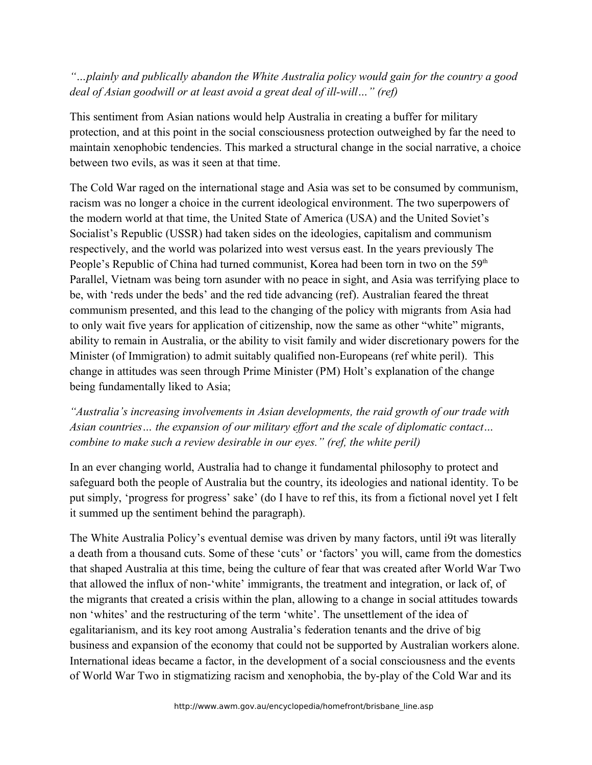*"…plainly and publically abandon the White Australia policy would gain for the country a good deal of Asian goodwill or at least avoid a great deal of ill-will…" (ref)* 

This sentiment from Asian nations would help Australia in creating a buffer for military protection, and at this point in the social consciousness protection outweighed by far the need to maintain xenophobic tendencies. This marked a structural change in the social narrative, a choice between two evils, as was it seen at that time.

The Cold War raged on the international stage and Asia was set to be consumed by communism, racism was no longer a choice in the current ideological environment. The two superpowers of the modern world at that time, the United State of America (USA) and the United Soviet's Socialist's Republic (USSR) had taken sides on the ideologies, capitalism and communism respectively, and the world was polarized into west versus east. In the years previously The People's Republic of China had turned communist, Korea had been torn in two on the 59<sup>th</sup> Parallel, Vietnam was being torn asunder with no peace in sight, and Asia was terrifying place to be, with 'reds under the beds' and the red tide advancing (ref). Australian feared the threat communism presented, and this lead to the changing of the policy with migrants from Asia had to only wait five years for application of citizenship, now the same as other "white" migrants, ability to remain in Australia, or the ability to visit family and wider discretionary powers for the Minister (of Immigration) to admit suitably qualified non-Europeans (ref white peril). This change in attitudes was seen through Prime Minister (PM) Holt's explanation of the change being fundamentally liked to Asia;

*"Australia's increasing involvements in Asian developments, the raid growth of our trade with Asian countries… the expansion of our military effort and the scale of diplomatic contact… combine to make such a review desirable in our eyes." (ref, the white peril)*

In an ever changing world, Australia had to change it fundamental philosophy to protect and safeguard both the people of Australia but the country, its ideologies and national identity. To be put simply, 'progress for progress' sake' (do I have to ref this, its from a fictional novel yet I felt it summed up the sentiment behind the paragraph).

The White Australia Policy's eventual demise was driven by many factors, until i9t was literally a death from a thousand cuts. Some of these 'cuts' or 'factors' you will, came from the domestics that shaped Australia at this time, being the culture of fear that was created after World War Two that allowed the influx of non-'white' immigrants, the treatment and integration, or lack of, of the migrants that created a crisis within the plan, allowing to a change in social attitudes towards non 'whites' and the restructuring of the term 'white'. The unsettlement of the idea of egalitarianism, and its key root among Australia's federation tenants and the drive of big business and expansion of the economy that could not be supported by Australian workers alone. International ideas became a factor, in the development of a social consciousness and the events of World War Two in stigmatizing racism and xenophobia, the by-play of the Cold War and its